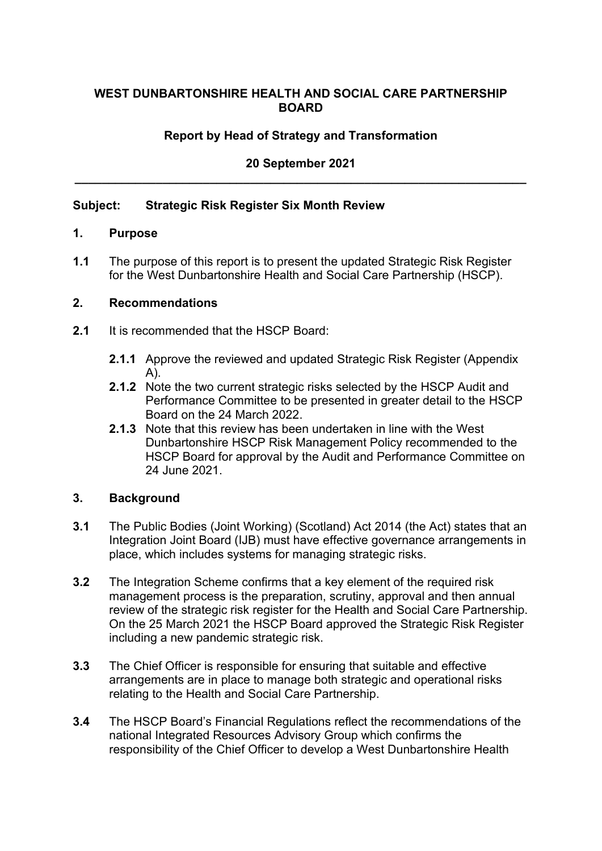# **WEST DUNBARTONSHIRE HEALTH AND SOCIAL CARE PARTNERSHIP BOARD**

# **Report by Head of Strategy and Transformation**

# **20 September 2021 \_\_\_\_\_\_\_\_\_\_\_\_\_\_\_\_\_\_\_\_\_\_\_\_\_\_\_\_\_\_\_\_\_\_\_\_\_\_\_\_\_\_\_\_\_\_\_\_\_\_\_\_\_\_\_\_\_\_\_\_\_\_\_\_\_\_\_**

#### **Subject: Strategic Risk Register Six Month Review**

#### **1. Purpose**

**1.1** The purpose of this report is to present the updated Strategic Risk Register for the West Dunbartonshire Health and Social Care Partnership (HSCP).

#### **2. Recommendations**

- **2.1** It is recommended that the HSCP Board:
	- **2.1.1** Approve the reviewed and updated Strategic Risk Register (Appendix A).
	- **2.1.2** Note the two current strategic risks selected by the HSCP Audit and Performance Committee to be presented in greater detail to the HSCP Board on the 24 March 2022.
	- **2.1.3** Note that this review has been undertaken in line with the West Dunbartonshire HSCP Risk Management Policy recommended to the HSCP Board for approval by the Audit and Performance Committee on 24 June 2021.

#### **3. Background**

- **3.1** The Public Bodies (Joint Working) (Scotland) Act 2014 (the Act) states that an Integration Joint Board (IJB) must have effective governance arrangements in place, which includes systems for managing strategic risks.
- **3.2** The Integration Scheme confirms that a key element of the required risk management process is the preparation, scrutiny, approval and then annual review of the strategic risk register for the Health and Social Care Partnership. On the 25 March 2021 the HSCP Board approved the Strategic Risk Register including a new pandemic strategic risk.
- **3.3** The Chief Officer is responsible for ensuring that suitable and effective arrangements are in place to manage both strategic and operational risks relating to the Health and Social Care Partnership.
- **3.4** The HSCP Board's Financial Regulations reflect the recommendations of the national Integrated Resources Advisory Group which confirms the responsibility of the Chief Officer to develop a West Dunbartonshire Health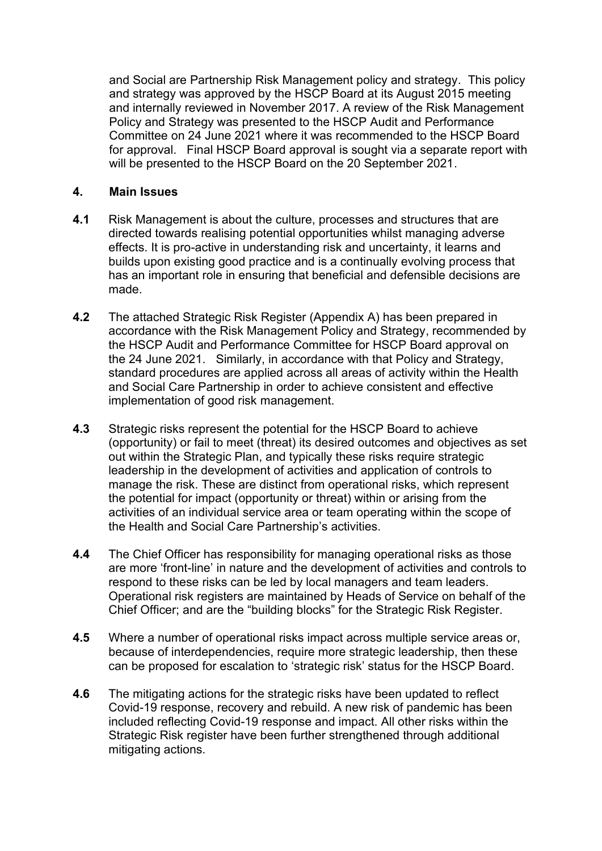and Social are Partnership Risk Management policy and strategy. This policy and strategy was approved by the HSCP Board at its August 2015 meeting and internally reviewed in November 2017. A review of the Risk Management Policy and Strategy was presented to the HSCP Audit and Performance Committee on 24 June 2021 where it was recommended to the HSCP Board for approval. Final HSCP Board approval is sought via a separate report with will be presented to the HSCP Board on the 20 September 2021.

### **4. Main Issues**

- **4.1** Risk Management is about the culture, processes and structures that are directed towards realising potential opportunities whilst managing adverse effects. It is pro-active in understanding risk and uncertainty, it learns and builds upon existing good practice and is a continually evolving process that has an important role in ensuring that beneficial and defensible decisions are made.
- **4.2** The attached Strategic Risk Register (Appendix A) has been prepared in accordance with the Risk Management Policy and Strategy, recommended by the HSCP Audit and Performance Committee for HSCP Board approval on the 24 June 2021. Similarly, in accordance with that Policy and Strategy, standard procedures are applied across all areas of activity within the Health and Social Care Partnership in order to achieve consistent and effective implementation of good risk management.
- **4.3** Strategic risks represent the potential for the HSCP Board to achieve (opportunity) or fail to meet (threat) its desired outcomes and objectives as set out within the Strategic Plan, and typically these risks require strategic leadership in the development of activities and application of controls to manage the risk. These are distinct from operational risks, which represent the potential for impact (opportunity or threat) within or arising from the activities of an individual service area or team operating within the scope of the Health and Social Care Partnership's activities.
- **4.4** The Chief Officer has responsibility for managing operational risks as those are more 'front-line' in nature and the development of activities and controls to respond to these risks can be led by local managers and team leaders. Operational risk registers are maintained by Heads of Service on behalf of the Chief Officer; and are the "building blocks" for the Strategic Risk Register.
- **4.5** Where a number of operational risks impact across multiple service areas or, because of interdependencies, require more strategic leadership, then these can be proposed for escalation to 'strategic risk' status for the HSCP Board.
- **4.6** The mitigating actions for the strategic risks have been updated to reflect Covid-19 response, recovery and rebuild. A new risk of pandemic has been included reflecting Covid-19 response and impact. All other risks within the Strategic Risk register have been further strengthened through additional mitigating actions.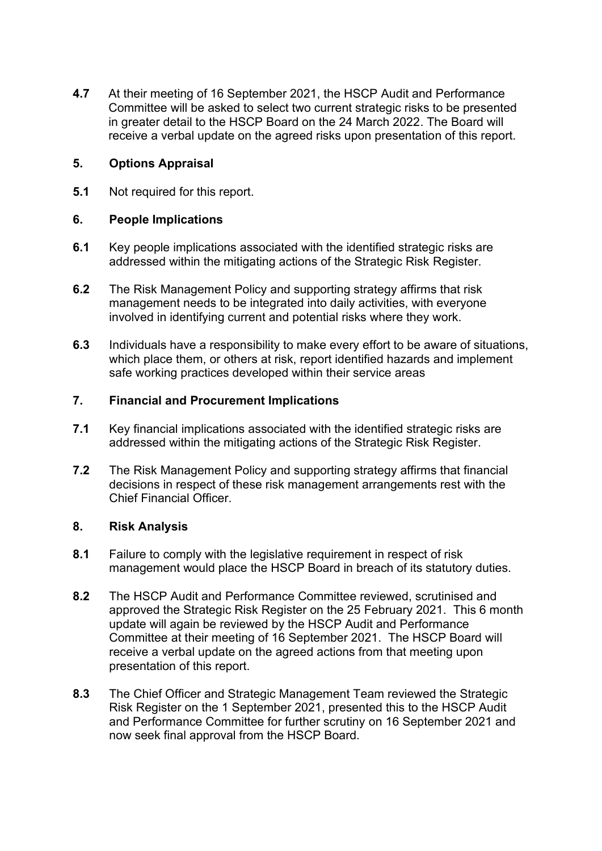**4.7** At their meeting of 16 September 2021, the HSCP Audit and Performance Committee will be asked to select two current strategic risks to be presented in greater detail to the HSCP Board on the 24 March 2022. The Board will receive a verbal update on the agreed risks upon presentation of this report.

# **5. Options Appraisal**

**5.1** Not required for this report.

# **6. People Implications**

- **6.1** Key people implications associated with the identified strategic risks are addressed within the mitigating actions of the Strategic Risk Register.
- **6.2** The Risk Management Policy and supporting strategy affirms that risk management needs to be integrated into daily activities, with everyone involved in identifying current and potential risks where they work.
- **6.3** Individuals have a responsibility to make every effort to be aware of situations, which place them, or others at risk, report identified hazards and implement safe working practices developed within their service areas

#### **7. Financial and Procurement Implications**

- **7.1** Key financial implications associated with the identified strategic risks are addressed within the mitigating actions of the Strategic Risk Register.
- **7.2** The Risk Management Policy and supporting strategy affirms that financial decisions in respect of these risk management arrangements rest with the Chief Financial Officer.

### **8. Risk Analysis**

- **8.1** Failure to comply with the legislative requirement in respect of risk management would place the HSCP Board in breach of its statutory duties.
- **8.2** The HSCP Audit and Performance Committee reviewed, scrutinised and approved the Strategic Risk Register on the 25 February 2021. This 6 month update will again be reviewed by the HSCP Audit and Performance Committee at their meeting of 16 September 2021. The HSCP Board will receive a verbal update on the agreed actions from that meeting upon presentation of this report.
- **8.3** The Chief Officer and Strategic Management Team reviewed the Strategic Risk Register on the 1 September 2021, presented this to the HSCP Audit and Performance Committee for further scrutiny on 16 September 2021 and now seek final approval from the HSCP Board.